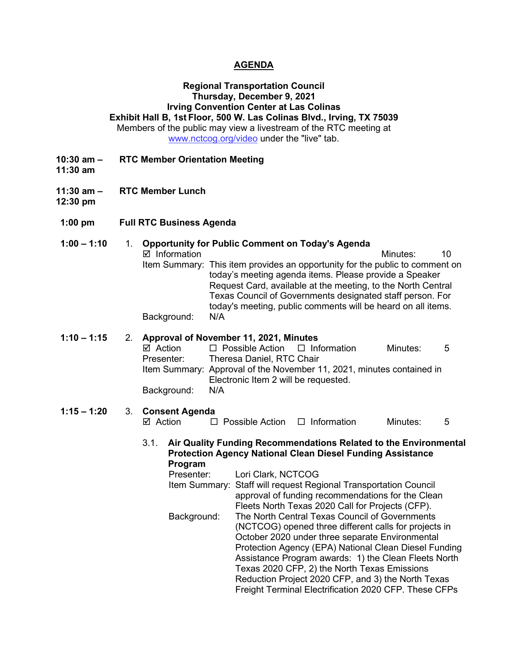#### **AGENDA**

## **Regional Transportation Council Thursday, December 9, 2021 Irving Convention Center at Las Colinas Exhibit Hall B, 1st Floor, 500 W. Las Colinas Blvd., Irving, TX 75039**

Members of the public may view a livestream of the RTC meeting at [www.nctcog.org/video](http://www.nctcog.org/video) under the "live" tab.

- **10:30 am – RTC Member Orientation Meeting**
- **11:30 am**
- **11:30 am – RTC Member Lunch**
- **12:30 pm**
- **1:00 pm Full RTC Business Agenda**

### **1:00 – 1:10** 1. **Opportunity for Public Comment on Today's Agenda**

■ Information and The Minutes: 10 Item Summary: This item provides an opportunity for the public to comment on today's meeting agenda items. Please provide a Speaker Request Card, available at the meeting, to the North Central Texas Council of Governments designated staff person. For today's meeting, public comments will be heard on all items. Background: N/A

# **1:10 – 1:15** 2. **Approval of November 11, 2021, Minutes**

 $\boxtimes$  Action  $\square$  Possible Action  $\square$  Information Minutes: 5<br>Presenter: Theresa Daniel, RTC Chair Theresa Daniel, RTC Chair Item Summary: Approval of the November 11, 2021, minutes contained in Electronic Item 2 will be requested. Background: N/A

# **1:15 – 1:20** 3. **Consent Agenda**

- $\Box$  Possible Action  $\Box$  Information Minutes: 5
- 3.1. **Air Quality Funding Recommendations Related to the Environmental Protection Agency National Clean Diesel Funding Assistance Program**
	- Presenter: Lori Clark, NCTCOG
	- Item Summary: Staff will request Regional Transportation Council approval of funding recommendations for the Clean Fleets North Texas 2020 Call for Projects (CFP). Background: The North Central Texas Council of Governments (NCTCOG) opened three different calls for projects in October 2020 under three separate Environmental Protection Agency (EPA) National Clean Diesel Funding Assistance Program awards: 1) the Clean Fleets North Texas 2020 CFP, 2) the North Texas Emissions Reduction Project 2020 CFP, and 3) the North Texas Freight Terminal Electrification 2020 CFP. These CFPs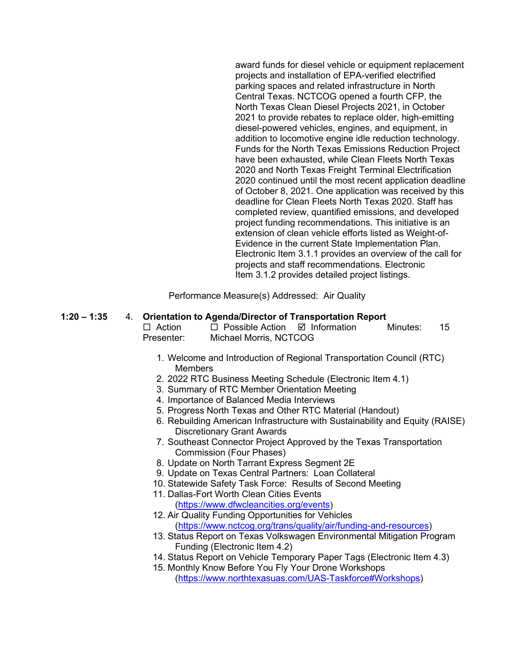award funds for diesel vehicle or equipment replacement projects and installation of EPA-verified electrified parking spaces and related infrastructure in North Central Texas. NCTCOG opened a fourth CFP, the North Texas Clean Diesel Projects 2021, in October 2021 to provide rebates to replace older, high-emitting diesel-powered vehicles, engines, and equipment, in addition to locomotive engine idle reduction technology. Funds for the North Texas Emissions Reduction Project have been exhausted, while Clean Fleets North Texas 2020 and North Texas Freight Terminal Electrification 2020 continued until the most recent application deadline of October 8, 2021. One application was received by this deadline for Clean Fleets North Texas 2020. Staff has completed review, quantified emissions, and developed project funding recommendations. This initiative is an extension of clean vehicle efforts listed as Weight-of-Evidence in the current State Implementation Plan. Electronic Item 3.1.1 provides an overview of the call for projects and staff recommendations. Electronic Item 3.1.2 provides detailed project listings.

Performance Measure(s) Addressed: Air Quality

#### **1:20 – 1:35** 4. **Orientation to Agenda/Director of Transportation Report**

| $\Box$ Action | $\Box$ Possible Action $\Box$ Information | Minutes: | - 15 |
|---------------|-------------------------------------------|----------|------|
| Presenter:    | Michael Morris, NCTCOG                    |          |      |

- 1. Welcome and Introduction of Regional Transportation Council (RTC) **Members**
- 2. 2022 RTC Business Meeting Schedule (Electronic Item 4.1)
- 3. Summary of RTC Member Orientation Meeting
- 4. Importance of Balanced Media Interviews
- 5. Progress North Texas and Other RTC Material (Handout)
- 6. Rebuilding American Infrastructure with Sustainability and Equity (RAISE) Discretionary Grant Awards
- 7. Southeast Connector Project Approved by the Texas Transportation Commission (Four Phases)
- 8. Update on North Tarrant Express Segment 2E
- 9. Update on Texas Central Partners: Loan Collateral
- 10. Statewide Safety Task Force: Results of Second Meeting
- 11. Dallas-Fort Worth Clean Cities Events [\(https://www.dfwcleancities.org/events\)](https://www.dfwcleancities.org/events)
- 12. Air Quality Funding Opportunities for Vehicles [\(https://www.nctcog.org/trans/quality/air/funding-and-resources\)](https://www.nctcog.org/trans/quality/air/funding-and-resources)
- 13. Status Report on Texas Volkswagen Environmental Mitigation Program Funding (Electronic Item 4.2)
- 14. Status Report on Vehicle Temporary Paper Tags (Electronic Item 4.3)
- 15. Monthly Know Before You Fly Your Drone Workshops [\(https://www.northtexasuas.com/UAS-Taskforce#Workshops\)](https://www.northtexasuas.com/UAS-Taskforce#Workshops)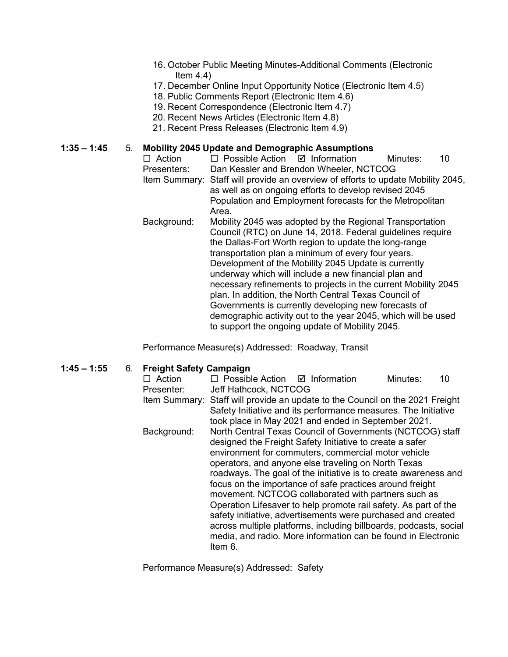- 16. October Public Meeting Minutes-Additional Comments (Electronic Item  $4.4$ )
- 17. December Online Input Opportunity Notice (Electronic Item 4.5)
- 18. Public Comments Report (Electronic Item 4.6)
- 19. Recent Correspondence (Electronic Item 4.7)
- 20. Recent News Articles (Electronic Item 4.8)
- 21. Recent Press Releases (Electronic Item 4.9)

# **1:35 – 1:45** 5. **Mobility 2045 Update and Demographic Assumptions**

 $\Box$  Possible Action  $\Box$  Information Minutes: 10 Presenters: Dan Kessler and Brendon Wheeler, NCTCOG Item Summary: Staff will provide an overview of efforts to update Mobility 2045, as well as on ongoing efforts to develop revised 2045 Population and Employment forecasts for the Metropolitan Area. Background: Mobility 2045 was adopted by the Regional Transportation Council (RTC) on June 14, 2018. Federal guidelines require the Dallas-Fort Worth region to update the long-range transportation plan a minimum of every four years. Development of the Mobility 2045 Update is currently underway which will include a new financial plan and necessary refinements to projects in the current Mobility 2045 plan. In addition, the North Central Texas Council of Governments is currently developing new forecasts of demographic activity out to the year 2045, which will be used

to support the ongoing update of Mobility 2045.

Performance Measure(s) Addressed: Roadway, Transit

#### **1:45 – 1:55** 6. **Freight Safety Campaign**

| $\Box$ Action | $\Box$ Possible Action $\Box$ Information                                                                             |                                                                   | Minutes: | 10 |
|---------------|-----------------------------------------------------------------------------------------------------------------------|-------------------------------------------------------------------|----------|----|
| Presenter:    | Jeff Hathcock, NCTCOG                                                                                                 |                                                                   |          |    |
| Item Summary: | Staff will provide an update to the Council on the 2021 Freight                                                       |                                                                   |          |    |
|               | Safety Initiative and its performance measures. The Initiative<br>took place in May 2021 and ended in September 2021. |                                                                   |          |    |
|               |                                                                                                                       |                                                                   |          |    |
| Background:   |                                                                                                                       | North Central Texas Council of Governments (NCTCOG) staff         |          |    |
|               | designed the Freight Safety Initiative to create a safer                                                              |                                                                   |          |    |
|               |                                                                                                                       | environment for commuters, commercial motor vehicle               |          |    |
|               | operators, and anyone else traveling on North Texas                                                                   |                                                                   |          |    |
|               | roadways. The goal of the initiative is to create awareness and                                                       |                                                                   |          |    |
|               | focus on the importance of safe practices around freight                                                              |                                                                   |          |    |
|               | movement. NCTCOG collaborated with partners such as                                                                   |                                                                   |          |    |
|               | Operation Lifesaver to help promote rail safety. As part of the                                                       |                                                                   |          |    |
|               |                                                                                                                       | safety initiative, advertisements were purchased and created      |          |    |
|               |                                                                                                                       | across multiple platforms, including billboards, podcasts, social |          |    |
|               |                                                                                                                       | media, and radio. More information can be found in Electronic     |          |    |
|               | Item 6.                                                                                                               |                                                                   |          |    |
|               |                                                                                                                       |                                                                   |          |    |

Performance Measure(s) Addressed: Safety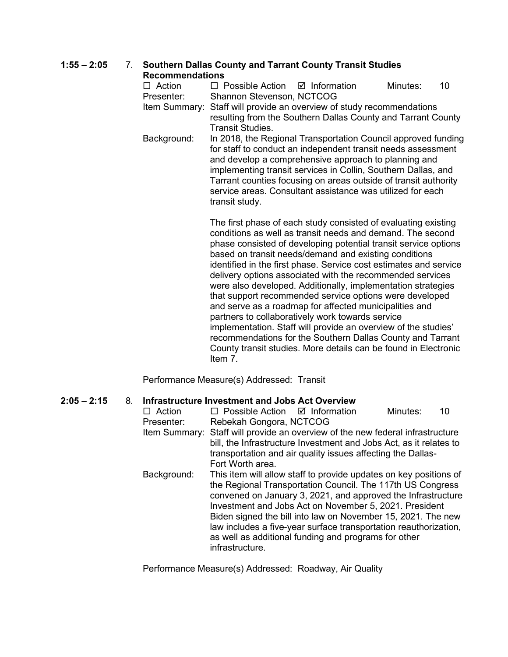# **1:55 – 2:05** 7. **Southern Dallas County and Tarrant County Transit Studies**

| <b>Recommendations</b> |                                                                                                                                                                                                                                                                                                                                                                                                                                                            |                                                                                                                                                                                                                                                                                                                                                                                         |          |    |  |  |
|------------------------|------------------------------------------------------------------------------------------------------------------------------------------------------------------------------------------------------------------------------------------------------------------------------------------------------------------------------------------------------------------------------------------------------------------------------------------------------------|-----------------------------------------------------------------------------------------------------------------------------------------------------------------------------------------------------------------------------------------------------------------------------------------------------------------------------------------------------------------------------------------|----------|----|--|--|
| $\Box$ Action          | $\Box$ Possible Action $\Box$ Information                                                                                                                                                                                                                                                                                                                                                                                                                  |                                                                                                                                                                                                                                                                                                                                                                                         | Minutes: | 10 |  |  |
| Presenter:             | <b>Shannon Stevenson, NCTCOG</b>                                                                                                                                                                                                                                                                                                                                                                                                                           |                                                                                                                                                                                                                                                                                                                                                                                         |          |    |  |  |
|                        | Item Summary: Staff will provide an overview of study recommendations<br>resulting from the Southern Dallas County and Tarrant County<br>Transit Studies.                                                                                                                                                                                                                                                                                                  |                                                                                                                                                                                                                                                                                                                                                                                         |          |    |  |  |
| Background:            | transit study.                                                                                                                                                                                                                                                                                                                                                                                                                                             | In 2018, the Regional Transportation Council approved funding<br>for staff to conduct an independent transit needs assessment<br>and develop a comprehensive approach to planning and<br>implementing transit services in Collin, Southern Dallas, and<br>Tarrant counties focusing on areas outside of transit authority<br>service areas. Consultant assistance was utilized for each |          |    |  |  |
|                        | The first phase of each study consisted of evaluating existing<br>conditions as well as transit needs and demand. The second<br>phase consisted of developing potential transit service options<br>based on transit needs/demand and existing conditions<br>identified in the first phase. Service cost estimates and service<br>delivery options associated with the recommended services<br>were also developed. Additionally, implementation strategies |                                                                                                                                                                                                                                                                                                                                                                                         |          |    |  |  |

were also developed. Additionally, implementation strategies that support recommended service options were developed and serve as a roadmap for affected municipalities and partners to collaboratively work towards service implementation. Staff will provide an overview of the studies' recommendations for the Southern Dallas County and Tarrant County transit studies. More details can be found in Electronic Item 7.

Performance Measure(s) Addressed: Transit

#### **2:05 – 2:15** 8. **Infrastructure Investment and Jobs Act Overview**

| Action        | $\Box$ Possible Action $\Box$ Information                                                                                                                                                                                 |                                                                                                                                                                                                                                                                                                                                                                                                                                                       | Minutes: | 10 |
|---------------|---------------------------------------------------------------------------------------------------------------------------------------------------------------------------------------------------------------------------|-------------------------------------------------------------------------------------------------------------------------------------------------------------------------------------------------------------------------------------------------------------------------------------------------------------------------------------------------------------------------------------------------------------------------------------------------------|----------|----|
| Presenter:    | Rebekah Gongora, NCTCOG                                                                                                                                                                                                   |                                                                                                                                                                                                                                                                                                                                                                                                                                                       |          |    |
| Item Summary: | Staff will provide an overview of the new federal infrastructure<br>bill, the Infrastructure Investment and Jobs Act, as it relates to<br>transportation and air quality issues affecting the Dallas-<br>Fort Worth area. |                                                                                                                                                                                                                                                                                                                                                                                                                                                       |          |    |
| Background:   | infrastructure.                                                                                                                                                                                                           | This item will allow staff to provide updates on key positions of<br>the Regional Transportation Council. The 117th US Congress<br>convened on January 3, 2021, and approved the Infrastructure<br>Investment and Jobs Act on November 5, 2021. President<br>Biden signed the bill into law on November 15, 2021. The new<br>law includes a five-year surface transportation reauthorization,<br>as well as additional funding and programs for other |          |    |

Performance Measure(s) Addressed: Roadway, Air Quality